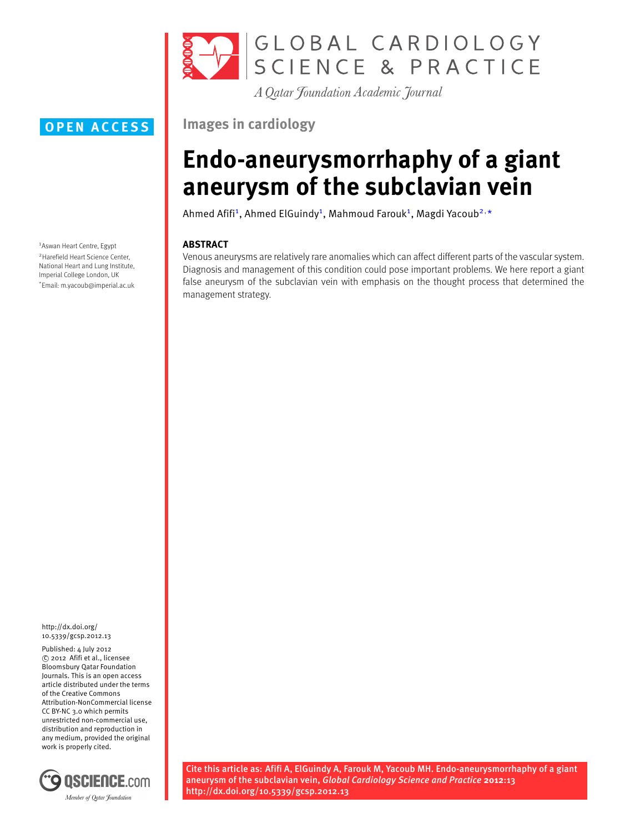

A Qatar Foundation Academic Journal

<span id="page-0-3"></span>**O P E N A C C E S S**

<span id="page-0-2"></span><span id="page-0-1"></span><span id="page-0-0"></span><sup>1</sup>Aswan Heart Centre, Egypt <sup>2</sup>Harefield Heart Science Center, National Heart and Lung Institute, Imperial College London, UK \*Email: m.yacoub@imperial.ac.uk

http://dx.doi.org/ 10.5339/gcsp.2012.13

Published: 4 July 2012 c 2012 Afifi et al., licensee Bloomsbury Qatar Foundation Journals. This is an open access article distributed under the terms of the Creative Commons Attribution-NonCommercial license CC BY-NC 3.0 which permits unrestricted non-commercial use, distribution and reproduction in any medium, provided the original work is properly cited.



**Endo-aneurysmorrhaphy of a giant aneurysm of the subclavian vein**

Ahmed Afifi<sup>[1](#page-0-0)</sup>, Ahmed ElGuindy<sup>1</sup>, Mahmoud Farouk<sup>1</sup>, Magdi Yacoub<sup>[2](#page-0-1),[\\*](#page-0-2)</sup>

# **ABSTRACT**

**Images in cardiology**

Venous aneurysms are relatively rare anomalies which can affect different parts of the vascular system. Diagnosis and management of this condition could pose important problems. We here report a giant false aneurysm of the subclavian vein with emphasis on the thought process that determined the management strategy.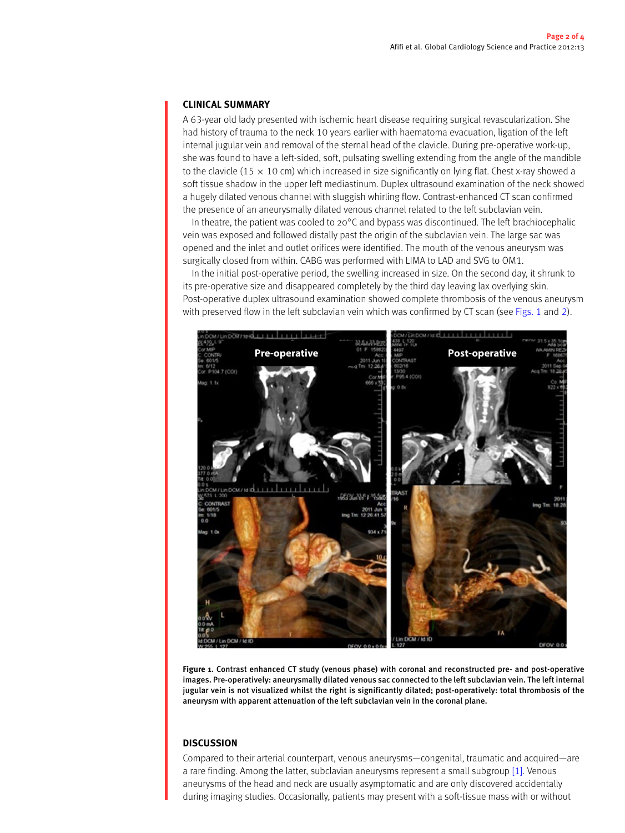## **CLINICAL SUMMARY**

A 63-year old lady presented with ischemic heart disease requiring surgical revascularization. She had history of trauma to the neck 10 years earlier with haematoma evacuation, ligation of the left internal jugular vein and removal of the sternal head of the clavicle. During pre-operative work-up, she was found to have a left-sided, soft, pulsating swelling extending from the angle of the mandible to the clavicle (15  $\times$  10 cm) which increased in size significantly on lying flat. Chest x-ray showed a soft tissue shadow in the upper left mediastinum. Duplex ultrasound examination of the neck showed a hugely dilated venous channel with sluggish whirling flow. Contrast-enhanced CT scan confirmed the presence of an aneurysmally dilated venous channel related to the left subclavian vein.

In theatre, the patient was cooled to 20◦C and bypass was discontinued. The left brachiocephalic vein was exposed and followed distally past the origin of the subclavian vein. The large sac was opened and the inlet and outlet orifices were identified. The mouth of the venous aneurysm was surgically closed from within. CABG was performed with LIMA to LAD and SVG to OM1.

In the initial post-operative period, the swelling increased in size. On the second day, it shrunk to its pre-operative size and disappeared completely by the third day leaving lax overlying skin. Post-operative duplex ultrasound examination showed complete thrombosis of the venous aneurysm with preserved flow in the left subclavian vein which was confirmed by CT scan (see [Figs. 1](#page-1-0) and [2\)](#page-2-0).

<span id="page-1-0"></span>

**Figure 1.** Contrast enhanced CT study (venous phase) with coronal and reconstructed pre- and post-operative images. Pre-operatively: aneurysmally dilated venous sac connected to the left subclavian vein. The left internal jugular vein is not visualized whilst the right is significantly dilated; post-operatively: total thrombosis of the aneurysm with apparent attenuation of the left subclavian vein in the coronal plane.

# **DISCUSSION**

Compared to their arterial counterpart, venous aneurysms—congenital, traumatic and acquired—are a rare finding. Among the latter, subclavian aneurysms represent a small subgroup [\[1\].](#page-2-1) Venous aneurysms of the head and neck are usually asymptomatic and are only discovered accidentally during imaging studies. Occasionally, patients may present with a soft-tissue mass with or without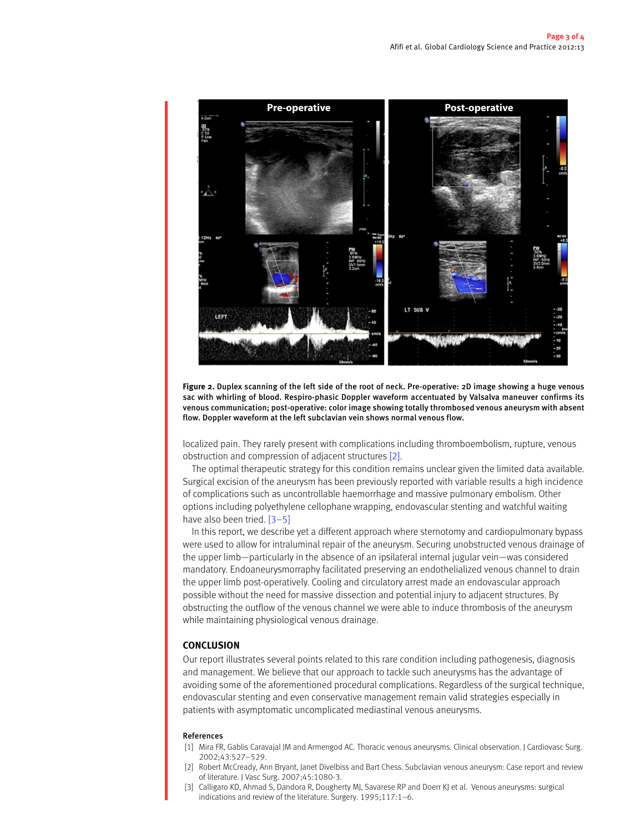<span id="page-2-0"></span>

**Figure 2.** Duplex scanning of the left side of the root of neck. Pre-operative: 2D image showing a huge venous sac with whirling of blood. Respiro-phasic Doppler waveform accentuated by Valsalva maneuver confirms its venous communication; post-operative: color image showing totally thrombosed venous aneurysm with absent flow. Doppler waveform at the left subclavian vein shows normal venous flow.

localized pain. They rarely present with complications including thromboembolism, rupture, venous obstruction and compression of adjacent structures [\[2\].](#page-2-2)

The optimal therapeutic strategy for this condition remains unclear given the limited data available. Surgical excision of the aneurysm has been previously reported with variable results a high incidence of complications such as uncontrollable haemorrhage and massive pulmonary embolism. Other options including polyethylene cellophane wrapping, endovascular stenting and watchful waiting have also been tried. [3-5]

In this report, we describe yet a different approach where sternotomy and cardiopulmonary bypass were used to allow for intraluminal repair of the aneurysm. Securing unobstructed venous drainage of the upper limb—particularly in the absence of an ipsilateral internal jugular vein—was considered mandatory. Endoaneurysmorraphy facilitated preserving an endothelialized venous channel to drain the upper limb post-operatively. Cooling and circulatory arrest made an endovascular approach possible without the need for massive dissection and potential injury to adjacent structures. By obstructing the outflow of the venous channel we were able to induce thrombosis of the aneurysm while maintaining physiological venous drainage.

# **CONCLUSION**

Our report illustrates several points related to this rare condition including pathogenesis, diagnosis and management. We believe that our approach to tackle such aneurysms has the advantage of avoiding some of the aforementioned procedural complications. Regardless of the surgical technique, endovascular stenting and even conservative management remain valid strategies especially in patients with asymptomatic uncomplicated mediastinal venous aneurysms.

#### References

- <span id="page-2-1"></span>[1] Mira FR, Gablis Caravajal JM and Armengod AC. Thoracic venous aneurysms. Clinical observation. J Cardiovasc Surg. 2002;43:527–529.
- <span id="page-2-2"></span>[2] Robert McCready, Ann Bryant, Janet Divelbiss and Bart Chess. Subclavian venous aneurysm: Case report and review of literature. J Vasc Surg. 2007;45:1080-3.
- [3] Calligaro KD, Ahmad S, Dandora R, Dougherty MJ, Savarese RP and Doerr KJ et al. Venous aneurysms: surgical indications and review of the literature. Surgery. 1995;117:1–6.